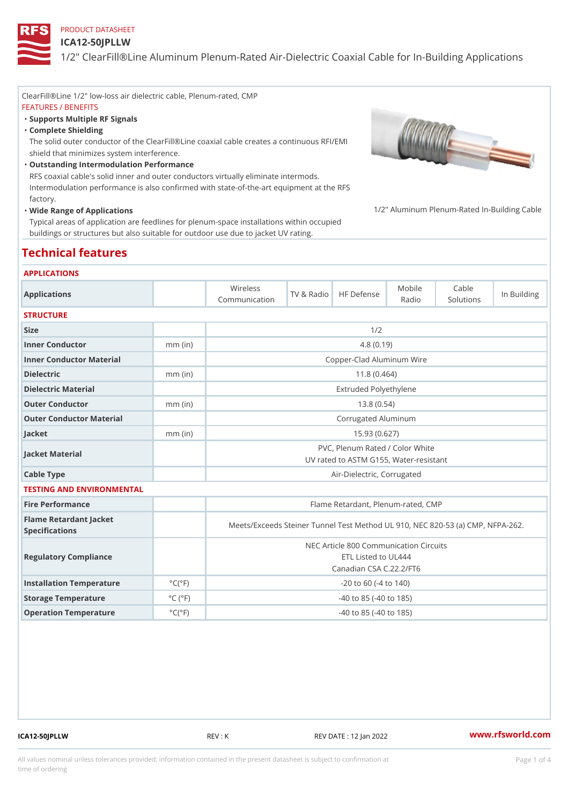ICA12-50JPLLW

ClearFill®Line 1/2" low-loss air dielectric cable, Plenum-rated, CMP FEATURES / BENEFITS "Supports Multiple RF Signals Complete Shielding " The solid outer conductor of the ClearFill®Line coaxial cable creates a continuous RFI/EMI shield that minimizes system interference. Outstanding Intermodulation Performance " RFS coaxial cable's solid inner and outer conductors virtually eliminate intermods. Intermodulation performance is also confirmed with state-of-the-art equipment at the RFS factory. Wide Range of Applications Typical areas of application are feedlines for plenum-space installations within occupied buildings or structures but also suitable for outdoor use due to jacket UV rating. 1/2" Aluminum Plenum-Rated In-Bui Technical features APPLICATIONS Applications Wireless Communication TV & RadHoF Defense Radio Cable Solutions In Building **STRUCTURE** Size 1/2 Inner Conductor mm (in) 4.8 (0.19) Inner Conductor Material Copper-Clad Aluminum Wire Dielectric mm (in) 11.8 (0.464) Dielectric Material Extruded Polyethylene Outer Conductor mm (in) 13.8 (0.54) Outer Conductor Material Corrugated Aluminum Jacket mm (in) 15.93 (0.627) Jacket Material PVC, Plenum Rated / Color White UV rated to ASTM G155, Water-resistant Cable Type **Air-Dielectric, Corrugated** TESTING AND ENVIRONMENTAL Fire Performance Flame Retardant, Plenum-rated, CMP Flame Retardant Jacket Specifications Meets/Exceeds Steiner Tunnel Test Method UL 910, NEC 820-5 Regulatory Compliance NEC Article 800 Communication Circuits ETL Listed to UL444 Canadian CSA C.22.2/FT6 Installation Temperature  $°C(^{\circ}F)$  -20 to 60 (-4 to 140) Storage Temperature  $\begin{array}{c} \circ \text{C} \\ \circ \text{C} \end{array}$  (°F) -40 to 85 (-40 to 185) Operation Temperature  $\circ$  C( $\circ$ F)  $\circ$  -40 to 85 (-40 to 185)

ICA12-50JPLLW REV : K REV DATE : 12 Jan 2022 [www.](https://www.rfsworld.com)rfsworld.com

All values nominal unless tolerances provided; information contained in the present datasheet is subject to Pcapgeligim attio time of ordering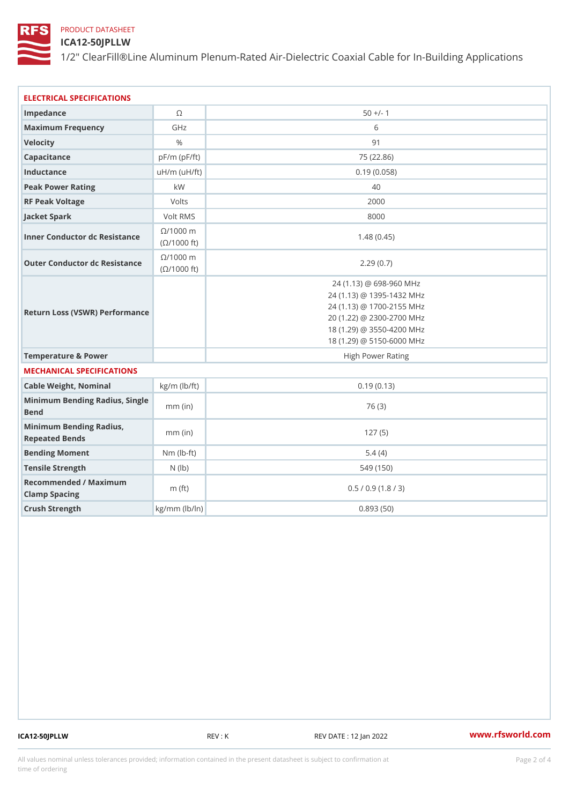ICA12-50JPLLW

1/2" ClearFill®Line Aluminum Plenum-Rated Air-Dielectric Coaxial Cab

| ELECTRICAL SPECIFICATIONS                         |                      |                                                                                                                                                                          |  |  |  |  |
|---------------------------------------------------|----------------------|--------------------------------------------------------------------------------------------------------------------------------------------------------------------------|--|--|--|--|
| Impedance                                         | $\circledcirc$       | $50 +/- 1$                                                                                                                                                               |  |  |  |  |
| Maximum Frequency                                 | GHz                  | 6                                                                                                                                                                        |  |  |  |  |
| Velocity                                          | $\%$                 | 91                                                                                                                                                                       |  |  |  |  |
| Capacitance                                       | $pF/m$ ( $pF/ft$ )   | 75 (22.86)                                                                                                                                                               |  |  |  |  |
| Inductance                                        | $uH/m$ ( $uF/ft$ )   | 0.19(0.058)                                                                                                                                                              |  |  |  |  |
| Peak Power Rating                                 | k W                  | 40                                                                                                                                                                       |  |  |  |  |
| RF Peak Voltage                                   | Volts                | 2000                                                                                                                                                                     |  |  |  |  |
| Jacket Spark                                      | Volt RMS             | 8000                                                                                                                                                                     |  |  |  |  |
| Inner Conductor dc Resistance<br>(©/1000 ft)      | $@/1000$ n           | 1.48(0.45)                                                                                                                                                               |  |  |  |  |
| Outer Conductor dc Resistance ( 0/1000 ft)        | $@/1000$ n           | 2.29(0.7)                                                                                                                                                                |  |  |  |  |
| Return Loss (VSWR) Performance                    |                      | 24 (1.13) @ 698-960 MHz<br>24 (1.13) @ 1395-1432 MHz<br>24 (1.13) @ 1700-2155 MHz<br>20 (1.22) @ 2300-2700 MHz<br>18 (1.29) @ 3550-4200 MHz<br>18 (1.29) @ 5150-6000 MHz |  |  |  |  |
| Temperature & Power                               |                      | High Power Rating                                                                                                                                                        |  |  |  |  |
| MECHANICAL SPECIFICATIONS                         |                      |                                                                                                                                                                          |  |  |  |  |
| Cable Weight, Nominal                             | $kg/m$ ( $lb/ft$ )   | 0.19(0.13)                                                                                                                                                               |  |  |  |  |
| Minimum Bending Radius, Single<br>mm (in<br>Bend  |                      | 76 (3)                                                                                                                                                                   |  |  |  |  |
| Minimum Bending Radius, mm (in)<br>Repeated Bends |                      | 127(5)                                                                                                                                                                   |  |  |  |  |
| Bending Moment                                    | $Nm (lb - t)$        | 5.4(4)                                                                                                                                                                   |  |  |  |  |
| Tensile Strength                                  | $N$ ( $ b)$          | 549 (150)                                                                                                                                                                |  |  |  |  |
| Recommended / Maximum<br>Clamp Spacing            | m $(ft)$             | 0.5 / 0.9 (1.8 / 3)                                                                                                                                                      |  |  |  |  |
| Crush Strength                                    | $kg/m$ m l b /   n ) | 0.893(50)                                                                                                                                                                |  |  |  |  |

ICA12-50JPLLW REV: K REV: REV BREV DATE : 12 Jan 2022 WWW.rfsworld.com

All values nominal unless tolerances provided; information contained in the present datasheet is subject to Pcapgnéio 2m atio time of ordering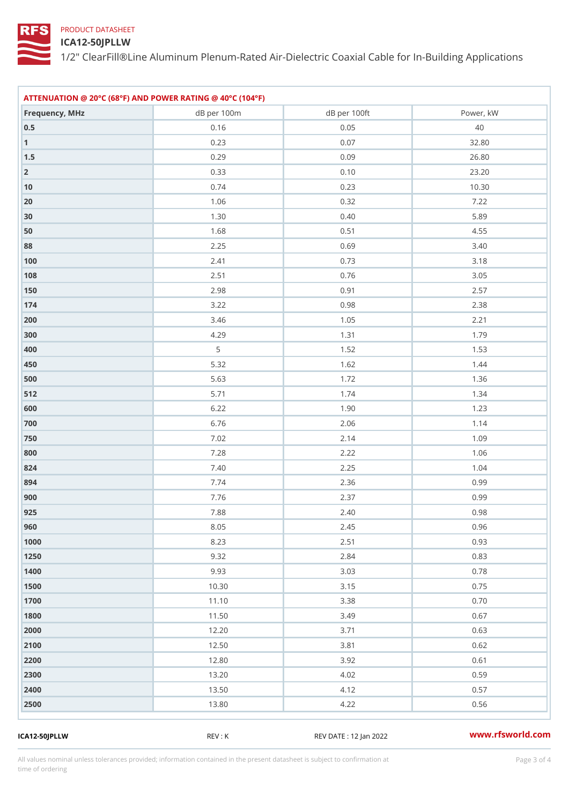#### ICA12-50JPLLW

1/2" ClearFill®Line Aluminum Plenum-Rated Air-Dielectric Coaxial Cab

| ATTENUATION @ 20°C (68°F) AND POWER RATING @ 40°C (104°F) |                 |              |                     |  |  |  |
|-----------------------------------------------------------|-----------------|--------------|---------------------|--|--|--|
| Frequency, MHz                                            | dB per 100m     | dB per 100ft | Power, kW           |  |  |  |
| $0\ .\ 5$                                                 | $0.16$          | $0\,.\,0\,5$ | 40                  |  |  |  |
| 1                                                         | $0.23\,$        | $0.07$       | $3\,2$ . $8\,0$     |  |  |  |
| $1.5\,$                                                   | 0.29            | $0.09$       | $2\,6$ . $8\,0$     |  |  |  |
| $\overline{2}$                                            | $0.33$          | $0.10$       | $2\,3$ . $2\,0$     |  |  |  |
| 10                                                        | $0\,$ . 7 $4\,$ | $0.23\,$     | 10.30               |  |  |  |
| 20                                                        | $1.06$          | $0\,.\,3\,2$ | 7.22                |  |  |  |
| 30                                                        | $1\,.\,3\,0$    | $0.40\,$     | $5\,.\,8\,9$        |  |  |  |
| 50                                                        | $1.68$          | 0.51         | 4.55                |  |  |  |
| 88                                                        | $2.25$          | 0.69         | $3.40$              |  |  |  |
| $100$                                                     | $2.41\,$        | $0.73\,$     | $3.18$              |  |  |  |
| 108                                                       | $2.51$          | $0\,.\,7\,6$ | $3\,.\,0\,5$        |  |  |  |
| 150                                                       | $2.98\,$        | $0.91$       | $2\,.\,5\,7$        |  |  |  |
| 174                                                       | $3.22$          | $0.98$       | 2.38                |  |  |  |
| 200                                                       | $3.46$          | $1.05$       | $2.21$              |  |  |  |
| 300                                                       | 4.29            | 1.31         | 1.79                |  |  |  |
| 400                                                       | 5               | $1.52$       | $1.53$              |  |  |  |
| 450                                                       | $5.32$          | $1.62$       | $1.44$              |  |  |  |
| 500                                                       | $5.63\,$        | $1.72$       | 1.36                |  |  |  |
| 5 1 2                                                     | $5.71$          | $1.74$       | $1.34$              |  |  |  |
| 600                                                       | 6.22            | 1.90         | 1.23                |  |  |  |
| 700                                                       | $6\,$ . 7 $6\,$ | $2.06$       | 1.14                |  |  |  |
| 750                                                       | $7.02\,$        | $2.14$       | $1.09$              |  |  |  |
| 800                                                       | $7\,.\,2\,8$    | $2.22$       | $1.06$              |  |  |  |
| 824                                                       | $7\,.\,4\,0$    | $2.25$       | $1.04$              |  |  |  |
| 894                                                       | $7\,$ . $7\,$ 4 | 2.36         | 0.99                |  |  |  |
| 900                                                       | $7.76\,$        | $2.37$       | $0.99$              |  |  |  |
| 925                                                       | 7.88            | $2.40$       | $0\,$ . $9\,$ $8\,$ |  |  |  |
| 960                                                       | $8.05$          | $2.45$       | 0.96                |  |  |  |
| 1000                                                      | $8.23$          | $2.51$       | 0.93                |  |  |  |
| 1250                                                      | 9.32            | $2.84$       | 0.83                |  |  |  |
| 1400                                                      | 9.93            | $3.03$       | $0\,$ . 7 $8\,$     |  |  |  |
| 1500                                                      | 10.30           | $3.15$       | $0.75$              |  |  |  |
| 1700                                                      | 11.10           | 3.38         | $0.70$              |  |  |  |
| 1800                                                      | 11.50           | $3.49$       | 0.67                |  |  |  |
| 2000                                                      | 12.20           | 3.71         | $0.63\,$            |  |  |  |
| 2100                                                      | 12.50           | 3.81         | $0\,.\,6\,2$        |  |  |  |
| 2200                                                      | 12.80           | 3.92         | 0.61                |  |  |  |
| 2300                                                      | 13.20           | $4.02\,$     | $0.59$              |  |  |  |
| 2400                                                      | 13.50           | 4.12         | 0.57                |  |  |  |
| 2500                                                      | 13.80           | $4.22$       | 0.56                |  |  |  |
|                                                           |                 |              |                     |  |  |  |

ICA12-50JPLLW REV : K REV DATE : 12 Jan 2022 [www.](https://www.rfsworld.com)rfsworld.com

All values nominal unless tolerances provided; information contained in the present datasheet is subject to Pcapgeling that i time of ordering